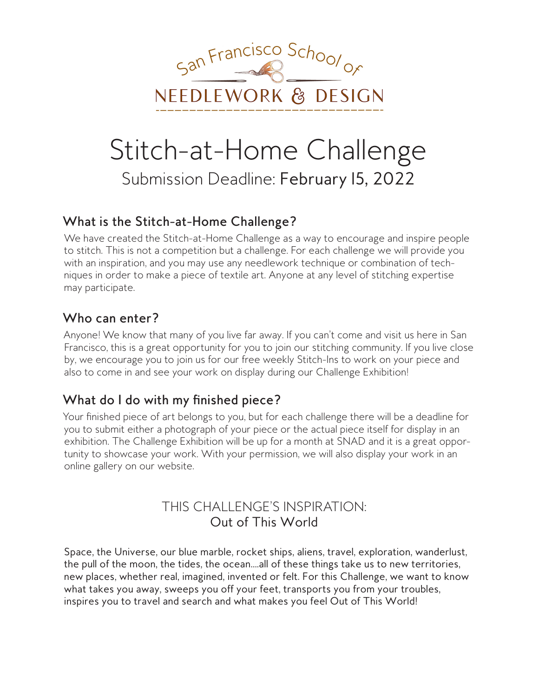

# Stitch-at-Home Challenge Submission Deadline: February 15, 2022

# What is the Stitch-at-Home Challenge?

We have created the Stitch-at-Home Challenge as a way to encourage and inspire people to stitch. This is not a competition but a challenge. For each challenge we will provide you with an inspiration, and you may use any needlework technique or combination of techniques in order to make a piece of textile art. Anyone at any level of stitching expertise may participate.

# Who can enter?

Anyone! We know that many of you live far away. If you can't come and visit us here in San Francisco, this is a great opportunity for you to join our stitching community. If you live close by, we encourage you to join us for our free weekly Stitch-Ins to work on your piece and also to come in and see your work on display during our Challenge Exhibition!

# What do I do with my finished piece?

Your finished piece of art belongs to you, but for each challenge there will be a deadline for you to submit either a photograph of your piece or the actual piece itself for display in an exhibition. The Challenge Exhibition will be up for a month at SNAD and it is a great opportunity to showcase your work. With your permission, we will also display your work in an online gallery on our website.

# THIS CHALLENGE'S INSPIRATION: Out of This World

Space, the Universe, our blue marble, rocket ships, aliens, travel, exploration, wanderlust, the pull of the moon, the tides, the ocean....all of these things take us to new territories, new places, whether real, imagined, invented or felt. For this Challenge, we want to know what takes you away, sweeps you off your feet, transports you from your troubles, inspires you to travel and search and what makes you feel Out of This World!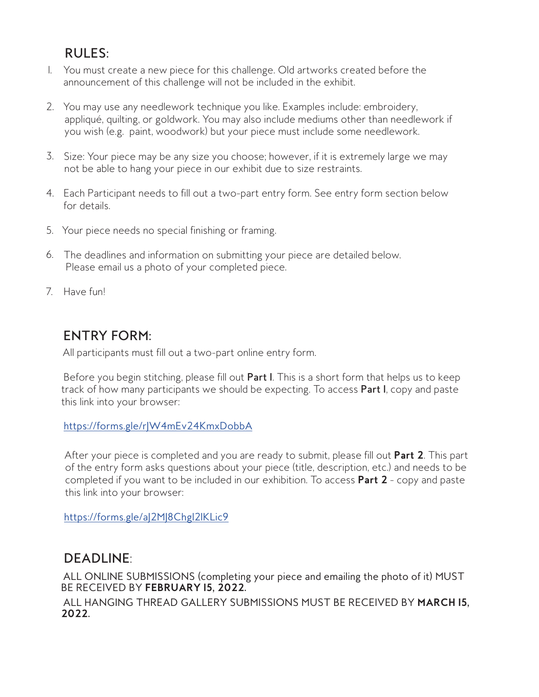# **RULES:**

- I. You must create a new piece for this challenge. Old artworks created before the announcement of this challenge will not be included in the exhibit.
- 2. You may use any needlework technique you like. Examples include: embroidery, appliqué, quilting, or goldwork. You may also include mediums other than needlework if you wish (e.g. paint, woodwork) but your piece must include some needlework.
- 3. Size: Your piece may be any size you choose; however, if it is extremely large we may not be able to hang your piece in our exhibit due to size restraints.
- 4. Each Participant needs to fill out a two-part entry form. See entry form section below for details
- 5. Your piece needs no special finishing or framing.
- 6. The deadlines and information on submitting your piece are detailed below. Please email us a photo of your completed piece.
- 7. Have fun!

# **ENTRY FORM:**

All participants must fill out a two-part online entry form.

Before you begin stitching, please fill out Part I. This is a short form that helps us to keep track of how many participants we should be expecting. To access Part I, copy and paste this link into your browser:

#### https://forms.gle/r|W4mEv24KmxDobbA

After your piece is completed and you are ready to submit, please fill out Part 2. This part of the entry form asks questions about your piece (title, description, etc.) and needs to be completed if you want to be included in our exhibition. To access Part 2 - copy and paste this link into your browser:

https://forms.gle/a|2M|8Chg|2IKLic9

# **DEADLINE:**

ALL ONLINE SUBMISSIONS (completing your piece and emailing the photo of it) MUST BE RECEIVED BY FEBRUARY 15, 2022.

ALL HANGING THREAD GALLERY SUBMISSIONS MUST BE RECEIVED BY MARCH 15. 2022.